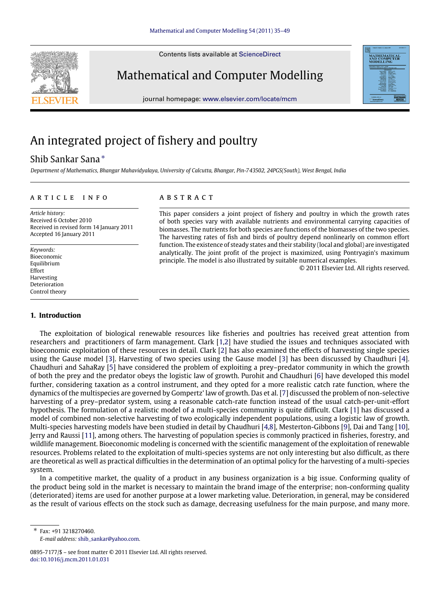Contents lists available at [ScienceDirect](http://www.elsevier.com/locate/mcm)

## Mathematical and Computer Modelling

journal homepage: [www.elsevier.com/locate/mcm](http://www.elsevier.com/locate/mcm)

# An integrated project of fishery and poultry

## Shib Sankar Sana [∗](#page-0-0)

*Department of Mathematics, Bhangar Mahavidyalaya, University of Calcutta, Bhangar, Pin-743502, 24PGS(South), West Bengal, India*

#### a r t i c l e i n f o

*Article history:* Received 6 October 2010 Received in revised form 14 January 2011 Accepted 16 January 2011

*Keywords:* Bioeconomic Equilibrium Effort Harvesting Deterioration Control theory

#### **1. Introduction**

### a b s t r a c t

This paper considers a joint project of fishery and poultry in which the growth rates of both species vary with available nutrients and environmental carrying capacities of biomasses. The nutrients for both species are functions of the biomasses of the two species. The harvesting rates of fish and birds of poultry depend nonlinearly on common effort function. The existence of steady states and their stability (local and global) are investigated analytically. The joint profit of the project is maximized, using Pontryagin's maximum principle. The model is also illustrated by suitable numerical examples.

© 2011 Elsevier Ltd. All rights reserved.

The exploitation of biological renewable resources like fisheries and poultries has received great attention from researchers and practitioners of farm management. Clark [\[1,](#page-13-0)[2\]](#page-13-1) have studied the issues and techniques associated with bioeconomic exploitation of these resources in detail. Clark [\[2\]](#page-13-1) has also examined the effects of harvesting single species using the Gause model [\[3\]](#page-13-2). Harvesting of two species using the Gause model [\[3\]](#page-13-2) has been discussed by Chaudhuri [\[4\]](#page-13-3). Chaudhuri and SahaRay [\[5\]](#page-13-4) have considered the problem of exploiting a prey–predator community in which the growth of both the prey and the predator obeys the logistic law of growth. Purohit and Chaudhuri [\[6\]](#page-13-5) have developed this model further, considering taxation as a control instrument, and they opted for a more realistic catch rate function, where the dynamics of the multispecies are governed by Gompertz' law of growth. Das et al. [\[7\]](#page-13-6) discussed the problem of non-selective harvesting of a prey–predator system, using a reasonable catch-rate function instead of the usual catch-per-unit-effort hypothesis. The formulation of a realistic model of a multi-species community is quite difficult. Clark [\[1\]](#page-13-0) has discussed a model of combined non-selective harvesting of two ecologically independent populations, using a logistic law of growth. Multi-species harvesting models have been studied in detail by Chaudhuri [\[4](#page-13-3)[,8\]](#page-13-7), Mesterton-Gibbons [\[9\]](#page-13-8), Dai and Tang [\[10\]](#page-13-9), Jerry and Raussi [\[11\]](#page-13-10), among others. The harvesting of population species is commonly practiced in fisheries, forestry, and wildlife management. Bioeconomic modeling is concerned with the scientific management of the exploitation of renewable resources. Problems related to the exploitation of multi-species systems are not only interesting but also difficult, as there are theoretical as well as practical difficulties in the determination of an optimal policy for the harvesting of a multi-species system.

In a competitive market, the quality of a product in any business organization is a big issue. Conforming quality of the product being sold in the market is necessary to maintain the brand image of the enterprise; non-conforming quality (deteriorated) items are used for another purpose at a lower marketing value. Deterioration, in general, may be considered as the result of various effects on the stock such as damage, decreasing usefulness for the main purpose, and many more.

<span id="page-0-0"></span>∗ Fax: +91 3218270460. *E-mail address:* [shib\\_sankar@yahoo.com.](mailto:shib_sankar@yahoo.com)





<sup>0895-7177/\$ –</sup> see front matter © 2011 Elsevier Ltd. All rights reserved. [doi:10.1016/j.mcm.2011.01.031](http://dx.doi.org/10.1016/j.mcm.2011.01.031)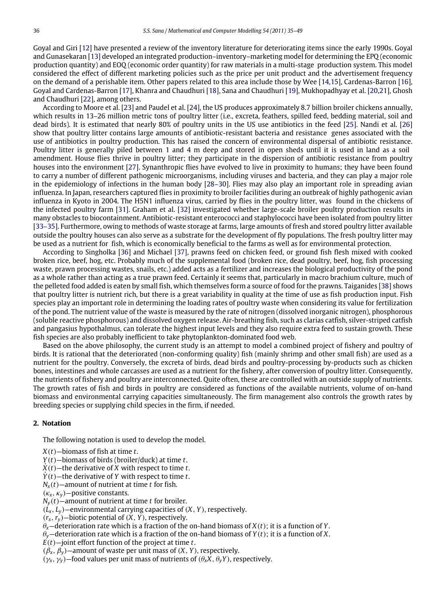Goyal and Giri [\[12\]](#page-13-11) have presented a review of the inventory literature for deteriorating items since the early 1990s. Goyal and Gunasekaran [\[13\]](#page-13-12) developed an integrated production–inventory–marketing model for determining the EPQ (economic production quantity) and EOQ (economic order quantity) for raw materials in a multi-stage production system. This model considered the effect of different marketing policies such as the price per unit product and the advertisement frequency on the demand of a perishable item. Other papers related to this area include those by Wee [\[14](#page-13-13)[,15\]](#page-13-14), Cardenas-Barron [\[16\]](#page-13-15), Goyal and Cardenas-Barron [\[17\]](#page-13-16), Khanra and Chaudhuri [\[18\]](#page-14-0), Sana and Chaudhuri [\[19\]](#page-14-1), Mukhopadhyay et al. [\[20](#page-14-2)[,21\]](#page-14-3), Ghosh and Chaudhuri [\[22\]](#page-14-4), among others.

According to Moore et al. [\[23\]](#page-14-5) and Paudel et al. [\[24\]](#page-14-6), the US produces approximately 8.7 billion broiler chickens annually, which results in 13–26 million metric tons of poultry litter (i.e., excreta, feathers, spilled feed, bedding material, soil and dead birds). It is estimated that nearly 80% of poultry units in the US use antibiotics in the feed [\[25\]](#page-14-7). Nandi et al. [\[26\]](#page-14-8) show that poultry litter contains large amounts of antibiotic-resistant bacteria and resistance genes associated with the use of antibiotics in poultry production. This has raised the concern of environmental dispersal of antibiotic resistance. Poultry litter is generally piled between 1 and 4 m deep and stored in open sheds until it is used in land as a soil amendment. House flies thrive in poultry litter; they participate in the dispersion of antibiotic resistance from poultry houses into the environment [\[27\]](#page-14-9). Synanthropic flies have evolved to live in proximity to humans; they have been found to carry a number of different pathogenic microorganisms, including viruses and bacteria, and they can play a major role in the epidemiology of infections in the human body [\[28–30\]](#page-14-10). Flies may also play an important role in spreading avian influenza. In Japan, researchers captured flies in proximity to broiler facilities during an outbreak of highly pathogenic avian influenza in Kyoto in 2004. The H5N1 influenza virus, carried by flies in the poultry litter, was found in the chickens of the infected poultry farm [\[31\]](#page-14-11). Graham et al. [\[32\]](#page-14-12) investigated whether large-scale broiler poultry production results in many obstacles to biocontainment. Antibiotic-resistant enterococci and staphylococci have been isolated from poultry litter [\[33–35\]](#page-14-13). Furthermore, owing to methods of waste storage at farms, large amounts of fresh and stored poultry litter available outside the poultry houses can also serve as a substrate for the development of fly populations. The fresh poultry litter may be used as a nutrient for fish, which is economically beneficial to the farms as well as for environmental protection.

According to Singholka [\[36\]](#page-14-14) and Michael [\[37\]](#page-14-15), prawns feed on chicken feed, or ground fish flesh mixed with cooked broken rice, beef, hog, etc. Probably much of the supplemental food (broken rice, dead poultry, beef, hog, fish processing waste, prawn processing wastes, snails, etc.) added acts as a fertilizer and increases the biological productivity of the pond as a whole rather than acting as a true prawn feed. Certainly it seems that, particularly in macro brachium culture, much of the pelleted food added is eaten by small fish, which themselves form a source of food for the prawns. Taiganides [\[38\]](#page-14-16) shows that poultry litter is nutrient rich, but there is a great variability in quality at the time of use as fish production input. Fish species play an important role in determining the loading rates of poultry waste when considering its value for fertilization of the pond. The nutrient value of the waste is measured by the rate of nitrogen (dissolved inorganic nitrogen), phosphorous (soluble reactive phosphorous) and dissolved oxygen release. Air-breathing fish, such as clarias catfish, silver-striped catfish and pangasius hypothalmus, can tolerate the highest input levels and they also require extra feed to sustain growth. These fish species are also probably inefficient to take phytoplankton-dominated food web.

Based on the above philosophy, the current study is an attempt to model a combined project of fishery and poultry of birds. It is rational that the deteriorated (non-conforming quality) fish (mainly shrimp and other small fish) are used as a nutrient for the poultry. Conversely, the excreta of birds, dead birds and poultry-processing by-products such as chicken bones, intestines and whole carcasses are used as a nutrient for the fishery, after conversion of poultry litter. Consequently, the nutrients of fishery and poultry are interconnected. Quite often, these are controlled with an outside supply of nutrients. The growth rates of fish and birds in poultry are considered as functions of the available nutrients, volume of on-hand biomass and environmental carrying capacities simultaneously. The firm management also controls the growth rates by breeding species or supplying child species in the firm, if needed.

### **2. Notation**

The following notation is used to develop the model.

- *X*(*t*)—biomass of fish at time *t*.
- *Y*(*t*)—biomass of birds (broiler/duck) at time *t*.
- $\dot{X}(t)$ —the derivative of *X* with respect to time *t*.
- *Y*˙(*t*)—the derivative of *Y* with respect to time *t*.
- *Nx*(*t*)—amount of nutrient at time *t* for fish.
- (κ*x*, κ*y*)—positive constants.
- $N_v(t)$ —amount of nutrient at time *t* for broiler.
- $(L_x, L_y)$ —environmental carrying capacities of  $(X, Y)$ , respectively.
- $(r_x, r_y)$ —biotic potential of  $(X, Y)$ , respectively.
- $\theta_{x}$ —deterioration rate which is a fraction of the on-hand biomass of *X*(*t*); it is a function of *Y*.
- $\theta$ <sub>*y*</sub>—deterioration rate which is a fraction of the on-hand biomass of  $Y(t)$ ; it is a function of *X*.

*E*(*t*)—joint effort function of the project at time *t*.

- $(\beta_x, \beta_y)$  amount of waste per unit mass of  $(X, Y)$ , respectively.
- $(\gamma_x, \gamma_y)$ —food values per unit mass of nutrients of  $(\theta_x X, \theta_y Y)$ , respectively.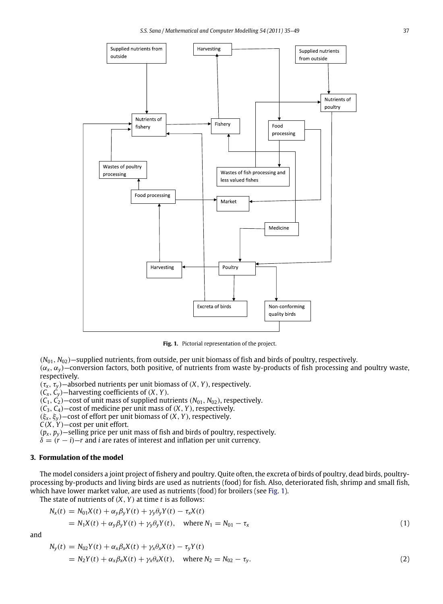<span id="page-2-0"></span>

<span id="page-2-2"></span><span id="page-2-1"></span>**Fig. 1.** Pictorial representation of the project.

(*N*01, *N*02)—supplied nutrients, from outside, per unit biomass of fish and birds of poultry, respectively.

 $(\alpha_x, \alpha_y)$ —conversion factors, both positive, of nutrients from waste by-products of fish processing and poultry waste, respectively.

 $(\tau_x, \tau_y)$ —absorbed nutrients per unit biomass of  $(X, Y)$ , respectively.

 $(C_x, C_y)$ —harvesting coefficients of  $(X, Y)$ .

 $(C_1, C_2)$  – cost of unit mass of supplied nutrients  $(N_{01}, N_{02})$ , respectively.

(*C*3, *C*4)—cost of medicine per unit mass of (*X*, *Y*), respectively.

 $(\xi_x, \xi_y)$  – cost of effort per unit biomass of  $(X, Y)$ , respectively.

*C*(*X*, *Y*)—cost per unit effort.

 $(p_x, p_y)$ —selling price per unit mass of fish and birds of poultry, respectively.

 $\delta = (r - i) - r$  and *i* are rates of interest and inflation per unit currency.

## **3. Formulation of the model**

The model considers a joint project of fishery and poultry. Quite often, the excreta of birds of poultry, dead birds, poultryprocessing by-products and living birds are used as nutrients (food) for fish. Also, deteriorated fish, shrimp and small fish, which have lower market value, are used as nutrients (food) for broilers (see [Fig. 1\)](#page-2-0).

The state of nutrients of (*X*, *Y*) at time *t* is as follows:

$$
N_x(t) = N_{01}X(t) + \alpha_y \beta_y Y(t) + \gamma_y \theta_y Y(t) - \tau_x X(t)
$$
  
=  $N_1 X(t) + \alpha_y \beta_y Y(t) + \gamma_y \theta_y Y(t)$ , where  $N_1 = N_{01} - \tau_x$  (1)

and

$$
N_{y}(t) = N_{02}Y(t) + \alpha_{x}\beta_{x}X(t) + \gamma_{x}\theta_{x}X(t) - \tau_{y}Y(t)
$$
  
=  $N_{2}Y(t) + \alpha_{x}\beta_{x}X(t) + \gamma_{x}\theta_{x}X(t)$ , where  $N_{2} = N_{02} - \tau_{y}$ . (2)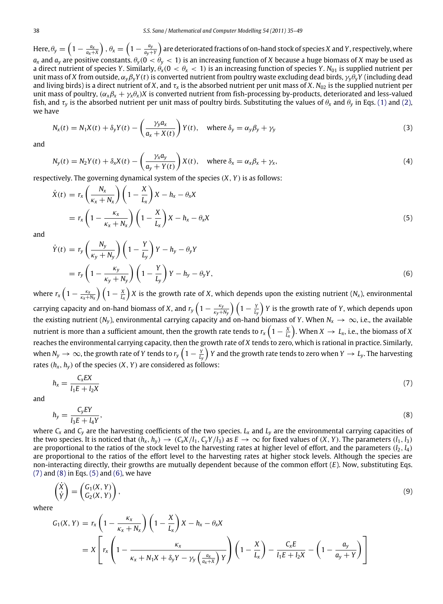Here,  $\theta_y=\left(1-\frac{a_\chi}{a_\chi+X}\right)$  ,  $\theta_x=\left(1-\frac{a_y}{a_y+Y}\right)$  are deteriorated fractions of on-hand stock of species X and Y, respectively, where  $a_x$  and  $a_y$  are positive constants.  $\theta_y$ ( $0 < \theta_y < 1$ ) is an increasing function of *X* because a huge biomass of *X* may be used as a direct nutrient of species *Y*. Similarly, θ*x*(0 < θ*<sup>x</sup>* < 1) is an increasing function of species *Y*. *N*<sup>01</sup> is supplied nutrient per unit mass of *X* from outside, α*y*β*yY*(*t*) is converted nutrient from poultry waste excluding dead birds, γ*y*θ*yY* (including dead and living birds) is a direct nutrient of *X*, and  $\tau_x$  is the absorbed nutrient per unit mass of *X*. N<sub>02</sub> is the supplied nutrient per unit mass of poultry,  $(\alpha_x \beta_x + \gamma_x \theta_x)X$  is converted nutrient from fish-processing by-products, deteriorated and less-valued fish, and  $\tau_v$  is the absorbed nutrient per unit mass of poultry birds. Substituting the values of  $\theta_x$  and  $\theta_y$  in Eqs. [\(1\)](#page-2-1) and [\(2\),](#page-2-2) we have

$$
N_x(t) = N_1 X(t) + \delta_y Y(t) - \left(\frac{\gamma_y a_x}{a_x + X(t)}\right) Y(t), \quad \text{where } \delta_y = \alpha_y \beta_y + \gamma_y \tag{3}
$$

and

$$
N_{y}(t) = N_{2}Y(t) + \delta_{x}X(t) - \left(\frac{\gamma_{x}a_{y}}{a_{y} + Y(t)}\right)X(t), \quad \text{where } \delta_{x} = \alpha_{x}\beta_{x} + \gamma_{x}, \tag{4}
$$

respectively. The governing dynamical system of the species (*X*, *Y*) is as follows:

$$
\dot{X}(t) = r_x \left(\frac{N_x}{\kappa_x + N_x}\right) \left(1 - \frac{X}{L_x}\right) X - h_x - \theta_x X
$$
\n
$$
= r_x \left(1 - \frac{\kappa_x}{\kappa_x + N_x}\right) \left(1 - \frac{X}{L_x}\right) X - h_x - \theta_x X
$$
\n(5)

and

<span id="page-3-3"></span><span id="page-3-2"></span>
$$
\dot{Y}(t) = r_y \left(\frac{N_y}{\kappa_y + N_y}\right) \left(1 - \frac{Y}{L_y}\right) Y - h_y - \theta_y Y
$$
\n
$$
= r_y \left(1 - \frac{\kappa_y}{\kappa_y + N_y}\right) \left(1 - \frac{Y}{L_y}\right) Y - h_y - \theta_y Y,
$$
\n(6)

where  $r_x\left(1-\frac{\kappa_x}{\kappa_x+\kappa_x}\right)\left(1-\frac{X}{L_x}\right)X$  is the growth rate of *X*, which depends upon the existing nutrient (*N<sub>x</sub>*), environmental carrying capacity and on-hand biomass of *X*, and  $r_y\left(1-\frac{\kappa_y}{\kappa_y+\kappa_z}\right)$  $\left(\frac{\kappa_y}{\kappa_y + N_y}\right)\left(1 - \frac{Y}{L_y}\right)$  *Y* is the growth rate of *Y*, which depends upon the existing nutrient (*N<sub>y</sub>*), environmental carrying capacity and on-hand biomass of *Y*. When  $N_x \to \infty$ , i.e., the available nutrient is more than a sufficient amount, then the growth rate tends to  $r_x\left(1-\frac{X}{L_x}\right)$ . When  $X\to L_x$ , i.e., the biomass of X reaches the environmental carrying capacity, then the growth rate of *X* tends to zero, which is rational in practice. Similarly, when  $N_y\to\infty$ , the growth rate of Y tends to  $r_y\left(1-\frac{Y}{L_y}\right)$  Y and the growth rate tends to zero when  $Y\to L_y.$  The harvesting rates  $(h_x, h_y)$  of the species  $(X, Y)$  are considered as follows:

$$
h_x = \frac{C_x EX}{l_1 E + l_2 X} \tag{7}
$$

and

<span id="page-3-1"></span><span id="page-3-0"></span>
$$
h_y = \frac{C_y EY}{l_3 E + l_4 Y},\tag{8}
$$

where *C<sup>x</sup>* and *C<sup>y</sup>* are the harvesting coefficients of the two species. *L<sup>x</sup>* and *L<sup>y</sup>* are the environmental carrying capacities of the two species. It is noticed that  $(h_x, h_y) \to (C_x X / l_1, C_y Y / l_3)$  as  $E \to \infty$  for fixed values of  $(X, Y)$ . The parameters  $(l_1, l_3)$ are proportional to the ratios of the stock level to the harvesting rates at higher level of effort, and the parameters  $(l_2, l_4)$ are proportional to the ratios of the effort level to the harvesting rates at higher stock levels. Although the species are non-interacting directly, their growths are mutually dependent because of the common effort (*E*). Now, substituting Eqs.  $(7)$  and  $(8)$  in Eqs.  $(5)$  and  $(6)$ , we have

<span id="page-3-4"></span>
$$
\begin{pmatrix} \dot{X} \\ \dot{Y} \end{pmatrix} = \begin{pmatrix} G_1(X, Y) \\ G_2(X, Y) \end{pmatrix},\tag{9}
$$

where

$$
G_1(X, Y) = r_x \left( 1 - \frac{\kappa_x}{\kappa_x + N_x} \right) \left( 1 - \frac{X}{L_x} \right) X - h_x - \theta_x X
$$
  
=  $X \left[ r_x \left( 1 - \frac{\kappa_x}{\kappa_x + N_1 X + \delta_y Y - \gamma_y \left( \frac{a_x}{a_x + X} \right) Y} \right) \left( 1 - \frac{X}{L_x} \right) - \frac{C_x E}{l_1 E + l_2 X} - \left( 1 - \frac{a_y}{a_y + Y} \right) \right]$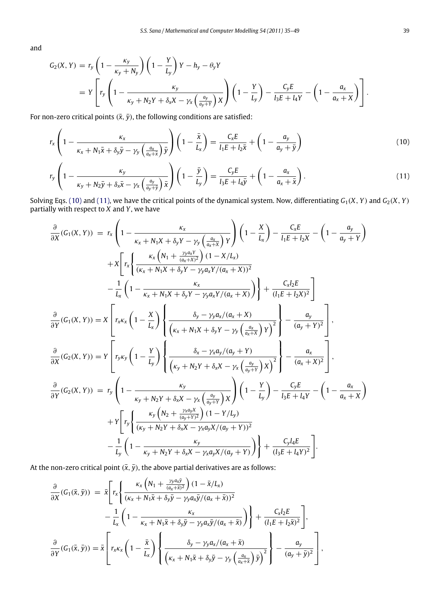and

$$
G_2(X, Y) = r_y \left( 1 - \frac{\kappa_y}{\kappa_y + N_y} \right) \left( 1 - \frac{Y}{L_y} \right) Y - h_y - \theta_y Y
$$
  
=  $Y \left[ r_y \left( 1 - \frac{\kappa_y}{\kappa_y + N_2 Y + \delta_x X - \gamma_x \left( \frac{a_y}{a_y + Y} \right) X} \right) \left( 1 - \frac{Y}{L_y} \right) - \frac{C_y E}{l_3 E + l_4 Y} - \left( 1 - \frac{a_x}{a_x + X} \right) \right].$ 

For non-zero critical points  $(\bar{x}, \bar{y})$ , the following conditions are satisfied:

<span id="page-4-0"></span>
$$
r_{x}\left(1-\frac{\kappa_{x}}{\kappa_{x}+N_{1}\bar{x}+\delta_{y}\bar{y}-\gamma_{y}\left(\frac{a_{x}}{a_{x}+\bar{x}}\right)\bar{y}}\right)\left(1-\frac{\bar{x}}{L_{x}}\right)=\frac{C_{x}E}{l_{1}E+l_{2}\bar{x}}+\left(1-\frac{a_{y}}{a_{y}+\bar{y}}\right)
$$
(10)

<span id="page-4-1"></span>
$$
r_{y}\left(1-\frac{\kappa_{y}}{\kappa_{y}+N_{2}\bar{y}+\delta_{x}\bar{x}-\gamma_{x}\left(\frac{a_{y}}{a_{y}+\bar{y}}\right)\bar{x}}\right)\left(1-\frac{\bar{y}}{L_{y}}\right)=\frac{C_{y}E}{l_{3}E+l_{4}\bar{y}}+\left(1-\frac{a_{x}}{a_{x}+\bar{x}}\right).
$$
\n(11)

Solving Eqs. [\(10\)](#page-4-0) and [\(11\),](#page-4-1) we have the critical points of the dynamical system. Now, differentiating  $G_1(X, Y)$  and  $G_2(X, Y)$ partially with respect to *X* and *Y*, we have

$$
\frac{\partial}{\partial X}(G_1(X, Y)) = r_x \left(1 - \frac{\kappa_x}{\kappa_x + N_1 X + \delta_y Y - \gamma_y \left(\frac{\alpha_x}{\alpha_x + X}\right) Y}\right) \left(1 - \frac{X}{L_x}\right) - \frac{C_x E}{l_1 E + l_2 X} - \left(1 - \frac{\alpha_y}{\alpha_y + Y}\right) + X \left[r_x \left\{\frac{\kappa_x \left(N_1 + \frac{\gamma_y \alpha_x Y}{(\alpha_x + X)^2}\right) (1 - X/L_x)}{(\kappa_x + N_1 X + \delta_y Y - \gamma_y \alpha_x Y/(\alpha_x + X))^2}\right.\right] - \frac{1}{L_x} \left(1 - \frac{\kappa_x}{\kappa_x + N_1 X + \delta_y Y - \gamma_y \alpha_x Y/(\alpha_x + X)}\right)\right\} + \frac{C_x l_2 E}{(l_1 E + l_2 X)^2} \left]
$$
\n
$$
\frac{\partial}{\partial Y}(G_1(X, Y)) = X \left[r_x \kappa_x \left(1 - \frac{X}{L_x}\right) \left\{\frac{\delta_y - \gamma_y \alpha_x/(a_x + X)}{(\kappa_x + N_1 X + \delta_y Y - \gamma_y \left(\frac{\alpha_x}{\alpha_x + X}\right) Y}\right)^2\right\} - \frac{a_y}{(a_y + Y)^2}\right],
$$
\n
$$
\frac{\partial}{\partial X}(G_2(X, Y)) = Y \left[r_y \kappa_y \left(1 - \frac{Y}{L_y}\right) \left\{\frac{\delta_x - \gamma_x \alpha_y/(a_y + Y)}{(\kappa_y + N_2 Y + \delta_x X - \gamma_x \left(\frac{\alpha_y}{\alpha_y + Y}\right) X}\right)^2\right\} - \frac{a_x}{(a_x + X)^2}\right],
$$
\n
$$
\frac{\partial}{\partial Y}(G_2(X, Y)) = r_y \left(1 - \frac{\kappa_y}{\kappa_y + N_2 Y + \delta_x X - \gamma_x \left(\frac{\alpha_y}{\alpha_y + Y}\right) X}\right) \left(1 - \frac{Y}{L_y}\right) - \frac{C_y E}{l_3 E + l_4 Y} - \left(1 - \frac{\alpha_x}{\alpha_x + X}\right)
$$
\n
$$
+ Y \left[r_y \left\{\frac{\kappa_y \left(N_2 + \frac{\gamma_x \alpha_y X}{(\alpha_y + Y)^2}\right) (1 - Y/L_y)}{(\kappa_y + N_2 Y + \delta_x X - \gamma_x \
$$

At the non-zero critical point  $(\bar{x}, \bar{y})$ , the above partial derivatives are as follows:

$$
\frac{\partial}{\partial X}(G_1(\bar{x}, \bar{y})) = \bar{x} \Bigg[ r_x \Bigg\{ \frac{\kappa_x \left( N_1 + \frac{\gamma_y a_x \bar{y}}{(a_x + \bar{x})^2} \right) (1 - \bar{x}/L_x)}{(\kappa_x + N_1 \bar{x} + \delta_y \bar{y} - \gamma_y a_x \bar{y}/(a_x + \bar{x}))^2} - \frac{1}{L_x} \Bigg( 1 - \frac{\kappa_x}{\kappa_x + N_1 \bar{x} + \delta_y \bar{y} - \gamma_y a_x \bar{y}/(a_x + \bar{x})} \Bigg) \Bigg\} + \frac{C_x l_2 E}{(l_1 E + l_2 \bar{x})^2} \Bigg],
$$
\n
$$
\frac{\partial}{\partial Y}(G_1(\bar{x}, \bar{y})) = \bar{x} \Bigg[ r_x \kappa_x \left( 1 - \frac{\bar{x}}{L_x} \right) \Bigg\{ \frac{\delta_y - \gamma_y a_x / (a_x + \bar{x})}{(\kappa_x + N_1 \bar{x} + \delta_y \bar{y} - \gamma_y \left( \frac{a_x}{a_x + \bar{x}} \right) \bar{y})^2} \Bigg\} - \frac{a_y}{(a_y + \bar{y})^2} \Bigg],
$$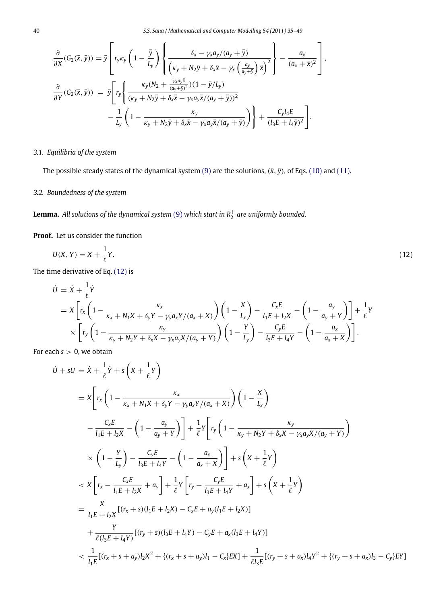40 *S.S. Sana / Mathematical and Computer Modelling 54 (2011) 35–49*

$$
\frac{\partial}{\partial X}(G_2(\bar{x}, \bar{y})) = \bar{y} \left[ r_y \kappa_y \left( 1 - \frac{\bar{y}}{L_y} \right) \left\{ \frac{\delta_x - \gamma_x a_y/(a_y + \bar{y})}{\left( \kappa_y + N_2 \bar{y} + \delta_x \bar{x} - \gamma_x \left( \frac{a_y}{a_y + \bar{y}} \right) \bar{x} \right)^2} \right\} - \frac{a_x}{(a_x + \bar{x})^2} \right],
$$
\n
$$
\frac{\partial}{\partial Y}(G_2(\bar{x}, \bar{y})) = \bar{y} \left[ r_y \left\{ \frac{\kappa_y (N_2 + \frac{\gamma_x a_y \bar{x}}{(a_y + \bar{y})^2}) (1 - \bar{y}/L_y)}{(\kappa_y + N_2 \bar{y} + \delta_x \bar{x} - \gamma_x a_y \bar{x}/(a_y + \bar{y}))^2} - \frac{1}{L_y} \left( 1 - \frac{\kappa_y}{\kappa_y + N_2 \bar{y} + \delta_x \bar{x} - \gamma_x a_y \bar{x}/(a_y + \bar{y})} \right) \right\} + \frac{C_y I_4 E}{(I_3 E + I_4 \bar{y})^2} \right].
$$

## *3.1. Equilibria of the system*

The possible steady states of the dynamical system [\(9\)](#page-3-4) are the solutions,  $(\bar{x}, \bar{y})$ , of Eqs. [\(10\)](#page-4-0) and [\(11\).](#page-4-1)

## *3.2. Boundedness of the system*

**Lemma.** *All solutions of the dynamical system* [\(9\)](#page-3-4) *which start in R*<sup>+</sup> 2 *are uniformly bounded.*

**Proof.** Let us consider the function

<span id="page-5-0"></span>
$$
U(X,Y) = X + \frac{1}{\ell}Y.\tag{12}
$$

The time derivative of Eq. [\(12\)](#page-5-0) is

$$
\dot{U} = \dot{X} + \frac{1}{\ell} \dot{Y}
$$
\n
$$
= X \left[ r_x \left( 1 - \frac{\kappa_x}{\kappa_x + N_1 X + \delta_y Y - \gamma_y a_x Y / (a_x + X)} \right) \left( 1 - \frac{X}{L_x} \right) - \frac{C_x E}{l_1 E + l_2 X} - \left( 1 - \frac{a_y}{a_y + Y} \right) \right] + \frac{1}{\ell} Y
$$
\n
$$
\times \left[ r_y \left( 1 - \frac{\kappa_y}{\kappa_y + N_2 Y + \delta_x X - \gamma_x a_y X / (a_y + Y)} \right) \left( 1 - \frac{Y}{L_y} \right) - \frac{C_y E}{l_3 E + l_4 Y} - \left( 1 - \frac{a_x}{a_x + X} \right) \right].
$$

For each *s* > 0, we obtain

$$
\dot{U} + sU = \dot{X} + \frac{1}{\ell} \dot{Y} + s \left( X + \frac{1}{\ell} Y \right)
$$
\n
$$
= X \bigg[ r_x \bigg( 1 - \frac{\kappa_x}{\kappa_x + N_1 X + \delta_y Y - \gamma_y a_x Y / (a_x + X)} \bigg) \bigg( 1 - \frac{X}{L_x} \bigg)
$$
\n
$$
- \frac{C_x E}{l_1 E + l_2 X} - \bigg( 1 - \frac{a_y}{a_y + Y} \bigg) \bigg] + \frac{1}{\ell} Y \bigg[ r_y \bigg( 1 - \frac{\kappa_y}{\kappa_y + N_2 Y + \delta_x X - \gamma_x a_y X / (a_y + Y)} \bigg)
$$
\n
$$
\times \bigg( 1 - \frac{Y}{L_y} \bigg) - \frac{C_y E}{l_3 E + l_4 Y} - \bigg( 1 - \frac{a_x}{a_x + X} \bigg) \bigg] + s \bigg( X + \frac{1}{\ell} Y \bigg)
$$
\n
$$
< X \bigg[ r_x - \frac{C_x E}{l_1 E + l_2 X} + a_y \bigg] + \frac{1}{\ell} Y \bigg[ r_y - \frac{C_y E}{l_3 E + l_4 Y} + a_x \bigg] + s \bigg( X + \frac{1}{\ell} Y \bigg)
$$
\n
$$
= \frac{X}{l_1 E + l_2 X} [r_x + s)(l_1 E + l_2 X) - C_x E + a_y (l_1 E + l_2 X)]
$$
\n
$$
+ \frac{Y}{\ell (l_3 E + l_4 Y)} [(r_y + s)(l_3 E + l_4 Y) - C_y E + a_x (l_3 E + l_4 Y)]
$$
\n
$$
< \frac{1}{l_1 E} [r_x + s + a_y) l_2 X^2 + \{ (r_x + s + a_y) l_1 - C_x \} E X] + \frac{1}{\ell l_3 E} [(r_y + s + a_x) l_4 Y^2 + \{ (r_y + s + a_x) l_3 - C_y \} E Y]
$$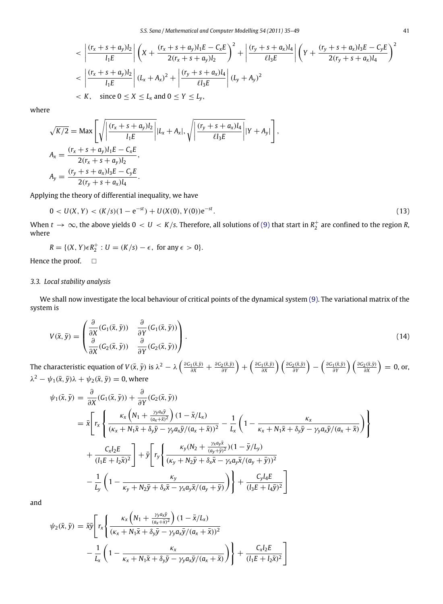$$
\begin{split}\n&< \left| \frac{(r_x + s + a_y)l_2}{l_1E} \right| \left( X + \frac{(r_x + s + a_y)l_1E - C_xE}{2(r_x + s + a_y)l_2} \right)^2 + \left| \frac{(r_y + s + a_x)l_4}{\ell l_3E} \right| \left( Y + \frac{(r_y + s + a_x)l_3E - C_yE}{2(r_y + s + a_x)l_4} \right)^2 \\
&< \left| \frac{(r_x + s + a_y)l_2}{l_1E} \right| (L_x + A_x)^2 + \left| \frac{(r_y + s + a_x)l_4}{\ell l_3E} \right| (L_y + A_y)^2 \\
&< K, \text{ since } 0 \le X \le L_x \text{ and } 0 \le Y \le L_y,\n\end{split}
$$

where

$$
\sqrt{K/2} = \text{Max} \left[ \sqrt{\left| \frac{(r_x + s + a_y)l_2}{l_1 E} \right|} |L_x + A_x|, \sqrt{\left| \frac{(r_y + s + a_x)l_4}{\ell l_3 E} \right|} |Y + A_y| \right],
$$
  
\n
$$
A_x = \frac{(r_x + s + a_y)l_1 E - C_x E}{2(r_x + s + a_y)l_2},
$$
  
\n
$$
A_y = \frac{(r_y + s + a_x)l_3 E - C_y E}{2(r_y + s + a_x)l_4}.
$$

Applying the theory of differential inequality, we have

$$
0 < U(X, Y) < (K/s)(1 - e^{-st}) + U(X(0), Y(0))e^{-st}.\tag{13}
$$

When  $t\to\infty$ , the above yields  $0 < U < K/s$ . Therefore, all solutions of [\(9\)](#page-3-4) that start in  $R_2^+$  are confined to the region R, where

 $R = \{(X, Y) \in R_2^+ : U = (K/s) - \epsilon, \text{ for any } \epsilon > 0\}.$ 

Hence the proof.  $\Box$ 

#### *3.3. Local stability analysis*

We shall now investigate the local behaviour of critical points of the dynamical system [\(9\).](#page-3-4) The variational matrix of the system is

$$
V(\bar{x}, \bar{y}) = \begin{pmatrix} \frac{\partial}{\partial X} (G_1(\bar{x}, \bar{y})) & \frac{\partial}{\partial Y} (G_1(\bar{x}, \bar{y})) \\ \frac{\partial}{\partial X} (G_2(\bar{x}, \bar{y})) & \frac{\partial}{\partial Y} (G_2(\bar{x}, \bar{y})) \end{pmatrix}.
$$
(14)

The characteristic equation of  $V(\bar{x},\bar{y})$  is  $\lambda^2-\lambda\left(\frac{\partial G_1(\bar{x},\bar{y})}{\partial X}+\frac{\partial G_2(\bar{x},\bar{y})}{\partial Y}\right)+\left(\frac{\partial G_1(\bar{x},\bar{y})}{\partial X}\right)\left(\frac{\partial G_2(\bar{x},\bar{y})}{\partial Y}\right)-\left(\frac{\partial G_1(\bar{x},\bar{y})}{\partial Y}\right)\left(\frac{\partial G_2(\bar{x},\bar{y})}{\partial X}\right)=0$ , or,  $\lambda^2 - \psi_1(\bar{x}, \bar{y})\lambda + \psi_2(\bar{x}, \bar{y}) = 0$ , where

$$
\psi_{1}(\bar{x}, \bar{y}) = \frac{\partial}{\partial X} (G_{1}(\bar{x}, \bar{y})) + \frac{\partial}{\partial Y} (G_{2}(\bar{x}, \bar{y}))
$$
\n
$$
= \bar{x} \bigg[ r_{x} \left\{ \frac{\kappa_{x} \left( N_{1} + \frac{\gamma_{y} a_{x} \bar{y}}{(a_{x} + \bar{x})^{2}} \right) (1 - \bar{x}/L_{x})}{(\kappa_{x} + N_{1} \bar{x} + \delta_{y} \bar{y} - \gamma_{y} a_{x} \bar{y}/(a_{x} + \bar{x}))^{2}} - \frac{1}{L_{x}} \left( 1 - \frac{\kappa_{x}}{\kappa_{x} + N_{1} \bar{x} + \delta_{y} \bar{y} - \gamma_{y} a_{x} \bar{y}/(a_{x} + \bar{x})} \right) \right\}
$$
\n
$$
+ \frac{C_{x} l_{2} E}{(l_{1} E + l_{2} \bar{x})^{2}} \bigg] + \bar{y} \bigg[ r_{y} \left\{ \frac{\kappa_{y} (N_{2} + \frac{\gamma_{x} a_{y} \bar{x}}{(a_{y} + \bar{y})^{2}}) (1 - \bar{y}/L_{y})}{(\kappa_{y} + N_{2} \bar{y} + \delta_{x} \bar{x} - \gamma_{x} a_{y} \bar{x}/(a_{y} + \bar{y}))^{2}} - \frac{1}{L_{y}} \left( 1 - \frac{\kappa_{y}}{\kappa_{y} + N_{2} \bar{y} + \delta_{x} \bar{x} - \gamma_{x} a_{y} \bar{x}/(a_{y} + \bar{y})} \right) \right\} + \frac{C_{y} l_{4} E}{(l_{3} E + l_{4} \bar{y})^{2}} \bigg]
$$

and

$$
\psi_2(\bar{x}, \bar{y}) = \bar{x}\bar{y} \left[ r_x \left\{ \frac{\kappa_x \left( N_1 + \frac{\gamma_y a_x \bar{y}}{(a_x + \bar{x})^2} \right) (1 - \bar{x}/L_x)}{(\kappa_x + N_1 \bar{x} + \delta_y \bar{y} - \gamma_y a_x \bar{y}/(a_x + \bar{x}))^2} - \frac{1}{L_x} \left( 1 - \frac{\kappa_x}{\kappa_x + N_1 \bar{x} + \delta_y \bar{y} - \gamma_y a_x \bar{y}/(a_x + \bar{x})} \right) \right\} + \frac{C_x l_2 E}{(l_1 E + l_2 \bar{x})^2} \right]
$$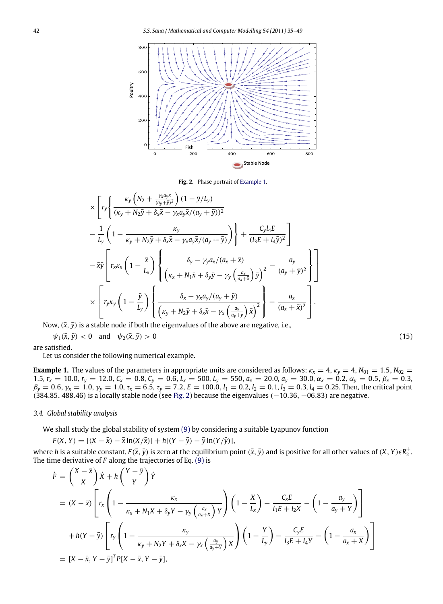<span id="page-7-1"></span>

<span id="page-7-2"></span>**Fig. 2.** Phase portrait of [Example 1.](#page-7-0)

$$
\times \left[ r_y \left\{ \frac{\kappa_y \left( N_2 + \frac{\gamma_x a_y \bar{x}}{(a_y + \bar{y})^2} \right) (1 - \bar{y}/L_y)}{(\kappa_y + N_2 \bar{y} + \delta_x \bar{x} - \gamma_x a_y \bar{x}/(a_y + \bar{y}))^2} \right. \right.\left. - \frac{1}{L_y} \left( 1 - \frac{\kappa_y}{\kappa_y + N_2 \bar{y} + \delta_x \bar{x} - \gamma_x a_y \bar{x}/(a_y + \bar{y})} \right) \right\} + \frac{C_y l_4 E}{(l_3 E + l_4 \bar{y})^2} \right] \left. - \bar{x} \bar{y} \left[ r_x \kappa_x \left( 1 - \frac{\bar{x}}{L_x} \right) \left\{ \frac{\delta_y - \gamma_y a_x/(a_x + \bar{x})}{(\kappa_x + N_1 \bar{x} + \delta_y \bar{y} - \gamma_y \left( \frac{a_x}{a_x + \bar{x}} \right) \bar{y})^2} - \frac{a_y}{(a_y + \bar{y})^2} \right\} \right] \times \left[ r_y \kappa_y \left( 1 - \frac{\bar{y}}{L_y} \right) \left\{ \frac{\delta_x - \gamma_x a_y/(a_y + \bar{y})}{(\kappa_y + N_2 \bar{y} + \delta_x \bar{x} - \gamma_x \left( \frac{a_y}{a_y + \bar{y}} \right) \bar{x})^2} \right\} - \frac{a_x}{(a_x + \bar{x})^2} \right].
$$

Now,  $(\bar{x}, \bar{y})$  is a stable node if both the eigenvalues of the above are negative, i.e.,

$$
\psi_1(\bar{x},\bar{y}) < 0 \quad \text{and} \quad \psi_2(\bar{x},\bar{y}) > 0 \tag{15}
$$

are satisfied.

<span id="page-7-0"></span>Let us consider the following numerical example.

**Example 1.** The values of the parameters in appropriate units are considered as follows:  $\kappa_x = 4$ ,  $\kappa_y = 4$ ,  $N_{01} = 1.5$ ,  $N_{02} =$ 1.5,  $r_x = 10.0$ ,  $r_y = 12.0$ ,  $C_x = 0.8$ ,  $C_y = 0.6$ ,  $L_x = 500$ ,  $L_y = 550$ ,  $a_x = 20.0$ ,  $a_y = 30.0$ ,  $\alpha_x = 0.2$ ,  $\alpha_y = 0.5$ ,  $\beta_x = 0.3$ ,  $\beta$ *y* = 0.6,  $\gamma$ <sub>*x*</sub> = 1.0,  $\gamma$ *y* = 1.0,  $\tau$ <sub>*x*</sub> = 6.5,  $\tau$ *y* = 7.2, *E* = 100.0, *l*<sub>1</sub> = 0.2, *l*<sub>2</sub> = 0.1, *l*<sub>3</sub> = 0.3, *l*<sub>4</sub> = 0.25. Then, the critical point (384.85, 488.46) is a locally stable node (see [Fig. 2\)](#page-7-1) because the eigenvalues (−10.36, −06.83) are negative.

*3.4. Global stability analysis*

We shall study the global stability of system [\(9\)](#page-3-4) by considering a suitable Lyapunov function

$$
F(X, Y) = [(X - \bar{x}) - \bar{x}\ln(X/\bar{x})] + h[(Y - \bar{y}) - \bar{y}\ln(Y/\bar{y})],
$$

where *h* is a suitable constant.  $F(\bar{x},\bar{y})$  is zero at the equilibrium point  $(\bar{x},\bar{y})$  and is positive for all other values of  $(X,Y)\epsilon R_2^+$ . The time derivative of *F* along the trajectories of Eq. [\(9\)](#page-3-4) is

$$
\dot{F} = \left(\frac{X - \bar{x}}{X}\right) \dot{X} + h\left(\frac{Y - \bar{y}}{Y}\right) \dot{Y}
$$
\n
$$
= (X - \bar{x}) \left[ r_x \left( 1 - \frac{\kappa_x}{\kappa_x + N_1 X + \delta_y Y - \gamma_y \left(\frac{a_x}{a_x + X}\right) Y} \right) \left( 1 - \frac{X}{L_x} \right) - \frac{C_x E}{l_1 E + l_2 X} - \left( 1 - \frac{a_y}{a_y + Y} \right) \right]
$$
\n
$$
+ h(Y - \bar{y}) \left[ r_y \left( 1 - \frac{\kappa_y}{\kappa_y + N_2 Y + \delta_x X - \gamma_x \left(\frac{a_y}{a_y + Y}\right) X} \right) \left( 1 - \frac{Y}{L_y} \right) - \frac{C_y E}{l_3 E + l_4 Y} - \left( 1 - \frac{a_x}{a_x + X} \right) \right]
$$
\n
$$
= [X - \bar{x}, Y - \bar{y}]^T P [X - \bar{x}, Y - \bar{y}],
$$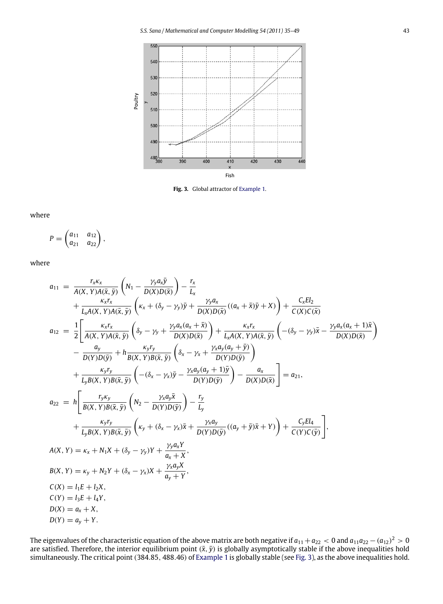<span id="page-8-0"></span>

**Fig. 3.** Global attractor of [Example 1.](#page-7-0)

where

$$
P = \begin{pmatrix} a_{11} & a_{12} \\ a_{21} & a_{22} \end{pmatrix},
$$

where

$$
a_{11} = \frac{r_x \kappa_x}{A(X, Y)A(\bar{x}, \bar{y})} \left( N_1 - \frac{\gamma_y a_x \bar{y}}{D(X)D(\bar{x})} \right) - \frac{r_x}{L_x}
$$
  
+  $\frac{\kappa_x r_x}{L_x A(X, Y)A(\bar{x}, \bar{y})} \left( \kappa_x + (\delta_y - \gamma_y) \bar{y} + \frac{\gamma_y a_x}{D(X)D(\bar{x})} ((a_x + \bar{x}) \bar{y} + X) \right) + \frac{C_x E I_2}{C(X)C(\bar{x})}$   

$$
a_{12} = \frac{1}{2} \left[ \frac{\kappa_x r_x}{A(X, Y)A(\bar{x}, \bar{y})} \left( \delta_y - \gamma_y + \frac{\gamma_y a_x (a_x + \bar{x})}{D(X)D(\bar{x})} \right) + \frac{\kappa_x r_x}{L_x A(X, Y)A(\bar{x}, \bar{y})} \left( -(\delta_y - \gamma_y) \bar{x} - \frac{\gamma_y a_x (a_x + 1) \bar{x}}{D(X)D(\bar{x})} \right) \right. \\ - \frac{a_y}{D(Y)D(\bar{y})} + h \frac{\kappa_y r_y}{B(X, Y)B(\bar{x}, \bar{y})} \left( \delta_x - \gamma_x + \frac{\gamma_x a_y (a_y + \bar{y})}{D(Y)D(\bar{y})} \right) - \frac{a_x}{D(X)D(\bar{x})} \right] = a_{21},
$$
  

$$
a_{22} = h \left[ \frac{r_y \kappa_y}{B(X, Y)B(\bar{x}, \bar{y})} \left( N_2 - \frac{\gamma_x a_y \bar{x}}{D(Y)D(\bar{y})} \right) - \frac{r_y}{L_y} + \frac{\kappa_y r_y}{L_y B(X, Y)B(\bar{x}, \bar{y})} \left( \kappa_y + (\delta_x - \gamma_x) \bar{x} + \frac{\gamma_x a_y}{D(Y)D(\bar{y})} ((a_y + \bar{y}) \bar{x} + Y) \right) + \frac{C_y E I_4}{C(Y)C(\bar{y})} \right],
$$
  

$$
A(X, Y) = \kappa_x + N_1 X + (\delta_y - \gamma_y) Y + \frac{\gamma_y a_x Y}{a_x + X},
$$
  

$$
B(X, Y) = \kappa_y + N_2 Y + (\delta_x - \gamma_x) X + \frac{\gamma_x a_y X}{a_y
$$

The eigenvalues of the characteristic equation of the above matrix are both negative if  $a_{11}+a_{22}<$  0 and  $a_{11}a_{22}-(a_{12})^2>0$ are satisfied. Therefore, the interior equilibrium point  $(\bar{x}, \bar{y})$  is globally asymptotically stable if the above inequalities hold simultaneously. The critical point (384.85, 488.46) of [Example 1](#page-7-0) is globally stable (see [Fig. 3\)](#page-8-0), as the above inequalities hold.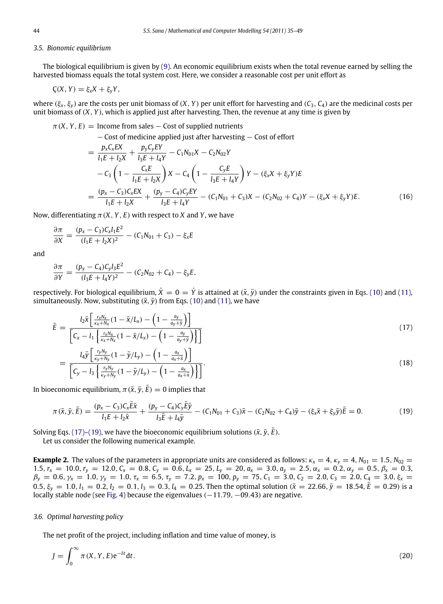#### *3.5. Bionomic equilibrium*

The biological equilibrium is given by [\(9\).](#page-3-4) An economic equilibrium exists when the total revenue earned by selling the harvested biomass equals the total system cost. Here, we consider a reasonable cost per unit effort as

$$
\zeta(X, Y) = \xi_x X + \xi_y Y,
$$

where (ξ*x*, ξ*y*) are the costs per unit biomass of (*X*, *Y*) per unit effort for harvesting and (*C*3, *C*4) are the medicinal costs per unit biomass of (*X*, *Y*), which is applied just after harvesting. Then, the revenue at any time is given by

 $\pi(X, Y, E)$  = Income from sales – Cost of supplied nutrients

- Cost of medicine applied just after harvesting - Cost of effort  
\n
$$
= \frac{p_x C_x EX}{l_1 E + l_2 X} + \frac{p_y C_y EY}{l_3 E + l_4 Y} - C_1 N_{01} X - C_2 N_{02} Y
$$
\n
$$
- C_3 \left( 1 - \frac{C_x E}{l_1 E + l_2 X} \right) X - C_4 \left( 1 - \frac{C_y E}{l_3 E + l_4 Y} \right) Y - (\xi_x X + \xi_y Y) E
$$
\n
$$
= \frac{(p_x - C_3) C_x EX}{l_1 E + l_2 X} + \frac{(p_y - C_4) C_y EY}{l_3 E + l_4 Y} - (C_1 N_{01} + C_3) X - (C_2 N_{02} + C_4) Y - (\xi_x X + \xi_y Y) E.
$$
\n(16)

Now, differentiating  $\pi$  (*X*, *Y*, *E*) with respect to *X* and *Y*, we have

$$
\frac{\partial \pi}{\partial X} = \frac{(p_x - C_3)C_x l_1 E^2}{(l_1 E + l_2 X)^2} - (C_1 N_{01} + C_3) - \xi_x E
$$

and

$$
\frac{\partial \pi}{\partial Y} = \frac{(p_y - C_4)C_y l_3 E^2}{(l_3 E + l_4 Y)^2} - (C_2 N_{02} + C_4) - \xi_y E,
$$

respectively. For biological equilibrium,  $\dot{X} = 0 = \dot{Y}$  is attained at  $(\bar{x}, \bar{y})$  under the constraints given in Eqs. [\(10\)](#page-4-0) and [\(11\),](#page-4-1) simultaneously. Now, substituting  $(\bar{x}, \bar{y})$  from Eqs. [\(10\)](#page-4-0) and [\(11\),](#page-4-1) we have

$$
\bar{E} = \frac{l_2 \bar{x} \left[ \frac{r_x N_x}{\kappa_x + N_x} (1 - \bar{x}/L_x) - \left(1 - \frac{a_y}{a_y + \bar{y}}\right) \right]}{\left[ C_x - l_1 \left\{ \frac{r_x N_x}{\kappa_x + N_x} (1 - \bar{x}/L_x) - \left(1 - \frac{a_y}{a_y + \bar{y}}\right) \right\} \right]}
$$
\n
$$
l_2 \bar{v} \left[ \frac{r_y N_y}{\kappa_x + N_x} (1 - \bar{v}/L_x) - \left(1 - \frac{a_x}{a_y + \bar{y}}\right) \right]}
$$
\n(17)

<span id="page-9-2"></span><span id="page-9-0"></span>
$$
= \frac{l_4\bar{y}\left[\frac{r_yN_y}{\kappa_y+N_y}\left(1-\bar{y}/L_y\right)-\left(1-\frac{a_x}{a_x+\bar{x}}\right)\right]}{\left[C_y-l_3\left\{\frac{r_yN_y}{\kappa_y+N_y}\left(1-\bar{y}/L_y\right)-\left(1-\frac{a_x}{a_x+\bar{x}}\right)\right\}\right]}.
$$
\n(18)

In bioeconomic equilibrium,  $\pi(\bar{x}, \bar{y}, \bar{E}) = 0$  implies that

$$
\pi(\bar{x}, \bar{y}, \bar{E}) = \frac{(p_x - C_3)C_x\bar{E}\bar{x}}{l_1E + l_2\bar{x}} + \frac{(p_y - C_4)C_y\bar{E}\bar{y}}{l_3\bar{E} + l_4\bar{y}} - (C_1N_{01} + C_3)\bar{x} - (C_2N_{02} + C_4)\bar{y} - (\xi_x\bar{x} + \xi_y\bar{y})\bar{E} = 0.
$$
\n(19)

Solving Eqs. [\(17\)–\(19\),](#page-9-0) we have the bioeconomic equilibrium solutions ( $\bar{x}$ ,  $\bar{y}$ ,  $\bar{E}$ ).

<span id="page-9-1"></span>Let us consider the following numerical example.

**Example 2.** The values of the parameters in appropriate units are considered as follows:  $\kappa_x = 4$ ,  $\kappa_y = 4$ ,  $N_{01} = 1.5$ ,  $N_{02} =$ 1.5,  $r_x = 10.0$ ,  $r_y = 12.0$ ,  $C_x = 0.8$ ,  $C_y = 0.6$ ,  $L_x = 25$ ,  $L_y = 20$ ,  $a_x = 3.0$ ,  $a_y = 2.5$ ,  $\alpha_x = 0.2$ ,  $\alpha_y = 0.5$ ,  $\beta_x = 0.3$ ,  $\beta_y = 0.6$ ,  $\gamma_x = 1.0$ ,  $\gamma_y = 1.0$ ,  $\tau_x = 6.5$ ,  $\tau_y = 7.2$ ,  $p_x = 100$ ,  $p_y = 75$ ,  $C_1 = 3.0$ ,  $C_2 = 2.0$ ,  $C_3 = 2.0$ ,  $C_4 = 3.0$ ,  $\xi_x = 1.0$ 0.5,  $\xi_y = 1.0$ ,  $l_1 = 0.2$ ,  $l_2 = 0.1$ ,  $l_3 = 0.3$ ,  $l_4 = 0.25$ . Then the optimal solution ( $\bar{x} = 22.66$ ,  $\bar{y} = 18.54$ ,  $\bar{E} = 0.29$ ) is a locally stable node (see [Fig. 4\)](#page-10-0) because the eigenvalues (−11.79, −09.43) are negative.

#### *3.6. Optimal harvesting policy*

The net profit of the project, including inflation and time value of money, is

$$
J = \int_0^\infty \pi(X, Y, E) e^{-\delta t} dt.
$$
\n(20)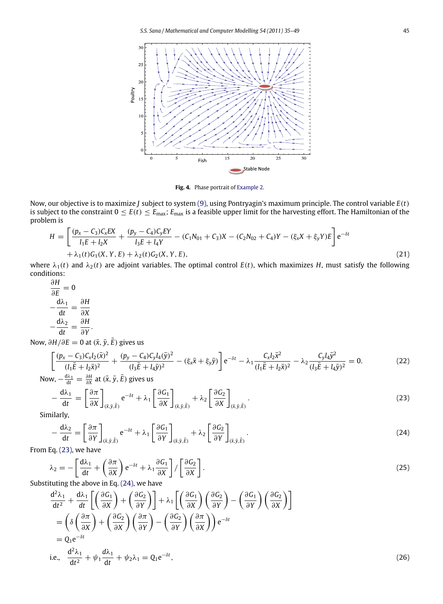<span id="page-10-0"></span>

<span id="page-10-4"></span><span id="page-10-2"></span><span id="page-10-1"></span>**Fig. 4.** Phase portrait of [Example 2.](#page-9-1)

Now, our objective is to maximize *J* subject to system [\(9\),](#page-3-4) using Pontryagin's maximum principle. The control variable *E*(*t*) is subject to the constraint  $0 \le E(t) \le E_{\text{max}}$ ;  $E_{\text{max}}$  is a feasible upper limit for the harvesting effort. The Hamiltonian of the problem is

$$
H = \left[ \frac{(p_x - C_3)C_x EX}{l_1 E + l_2 X} + \frac{(p_y - C_4)C_y EY}{l_3 E + l_4 Y} - (C_1 N_{01} + C_3)X - (C_2 N_{02} + C_4)Y - (\xi_x X + \xi_y Y)E \right] e^{-\delta t} + \lambda_1(t)G_1(X, Y, E) + \lambda_2(t)G_2(X, Y, E),
$$
\n(21)

where  $\lambda_1(t)$  and  $\lambda_2(t)$  are adjoint variables. The optimal control  $E(t)$ , which maximizes *H*, must satisfy the following conditions:

$$
\frac{\partial H}{\partial E} = 0
$$
  

$$
-\frac{d\lambda_1}{dt} = \frac{\partial H}{\partial X}
$$
  

$$
-\frac{d\lambda_2}{dt} = \frac{\partial H}{\partial Y}.
$$

Now,  $\partial H / \partial E = 0$  at  $(\bar{x}, \bar{y}, \bar{E})$  gives us

$$
\left[\frac{(p_x - C_3)C_xl_2(\bar{x})^2}{(l_1\bar{E} + l_2\bar{x})^2} + \frac{(p_y - C_4)C_yl_4(\bar{y})^2}{(l_3\bar{E} + l_4\bar{y})^2} - (\xi_x\bar{x} + \xi_y\bar{y})\right]e^{-\delta t} - \lambda_1\frac{C_xl_2\bar{x}^2}{(l_1\bar{E} + l_2\bar{x})^2} - \lambda_2\frac{C_yl_4\bar{y}^2}{(l_3\bar{E} + l_4\bar{y})^2} = 0.
$$
\n(22)

Now, 
$$
-\frac{d\lambda_1}{dt} = \frac{\partial H}{\partial x} dt (\bar{x}, \bar{y}, \bar{E})
$$
 gives us  
\n
$$
-\frac{d\lambda_1}{dt} = \left[\frac{\partial \pi}{\partial X}\right]_{(\bar{x}, \bar{y}, \bar{E})} e^{-\delta t} + \lambda_1 \left[\frac{\partial G_1}{\partial X}\right]_{(\bar{x}, \bar{y}, \bar{E})} + \lambda_2 \left[\frac{\partial G_2}{\partial X}\right]_{(\bar{x}, \bar{y}, \bar{E})}.
$$
\n(23)

Similarly,

$$
-\frac{d\lambda_2}{dt} = \left[\frac{\partial \pi}{\partial Y}\right]_{(\bar{x},\bar{y},\bar{E})} e^{-\delta t} + \lambda_1 \left[\frac{\partial G_1}{\partial Y}\right]_{(\bar{x},\bar{y},\bar{E})} + \lambda_2 \left[\frac{\partial G_2}{\partial Y}\right]_{(\bar{x},\bar{y},\bar{E})}.
$$
(24)

From Eq. [\(23\),](#page-10-1) we have

$$
\lambda_2 = -\left[\frac{d\lambda_1}{dt} + \left(\frac{\partial \pi}{\partial X}\right)e^{-\delta t} + \lambda_1 \frac{\partial G_1}{\partial X}\right] / \left[\frac{\partial G_2}{\partial X}\right].
$$
\n(25)

Substituting the above in Eq. [\(24\),](#page-10-2) we have

<span id="page-10-3"></span>
$$
\frac{d^2 \lambda_1}{dt^2} + \frac{d\lambda_1}{dt} \left[ \left( \frac{\partial G_1}{\partial X} \right) + \left( \frac{\partial G_2}{\partial Y} \right) \right] + \lambda_1 \left[ \left( \frac{\partial G_1}{\partial X} \right) \left( \frac{\partial G_2}{\partial Y} \right) - \left( \frac{\partial G_1}{\partial Y} \right) \left( \frac{\partial G_2}{\partial X} \right) \right]
$$
\n
$$
= \left( \delta \left( \frac{\partial \pi}{\partial X} \right) + \left( \frac{\partial G_2}{\partial X} \right) \left( \frac{\partial \pi}{\partial Y} \right) - \left( \frac{\partial G_2}{\partial Y} \right) \left( \frac{\partial \pi}{\partial X} \right) \right) e^{-\delta t}
$$
\n
$$
= Q_1 e^{-\delta t}
$$
\ni.e., 
$$
\frac{d^2 \lambda_1}{dt^2} + \psi_1 \frac{d\lambda_1}{dt} + \psi_2 \lambda_1 = Q_1 e^{-\delta t},
$$
\n(26)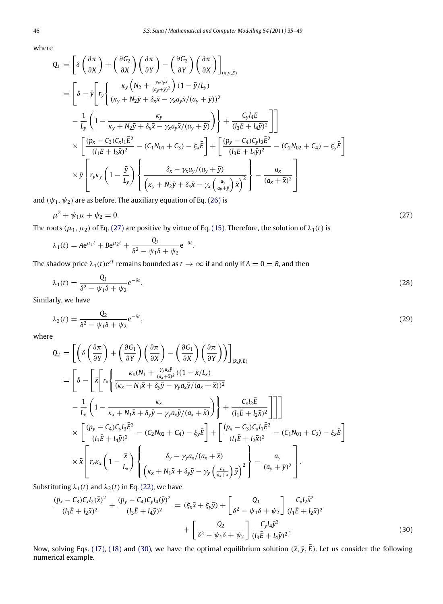where

$$
Q_{1} = \left[\delta\left(\frac{\partial\pi}{\partial X}\right) + \left(\frac{\partial G_{2}}{\partial X}\right)\left(\frac{\partial\pi}{\partial Y}\right) - \left(\frac{\partial G_{2}}{\partial Y}\right)\left(\frac{\partial\pi}{\partial X}\right)\right]_{(\bar{x},\bar{y},\bar{E})}
$$
  
\n
$$
= \left[\delta - \bar{y}\left[r_{y}\left(\frac{\kappa_{y}\left(N_{2} + \frac{\gamma_{x}q_{y}\bar{x}}{(q_{y} + \bar{y})^{2}}\right)(1 - \bar{y}/L_{y})}{(\kappa_{y} + N_{2}\bar{y} + \delta_{x}\bar{x} - \gamma_{x}q_{y}\bar{x}/(a_{y} + \bar{y}))^{2}} - \frac{1}{L_{y}}\left(1 - \frac{\kappa_{y}}{\kappa_{y} + N_{2}\bar{y} + \delta_{x}\bar{x} - \gamma_{x}q_{y}\bar{x}/(a_{y} + \bar{y})}\right)\right] + \frac{C_{y}l_{4}E}{(l_{3}E + l_{4}\bar{y})^{2}}\right]\right]
$$
  
\n
$$
\times \left[\frac{(p_{x} - C_{3})C_{x}l_{1}\bar{E}^{2}}{(l_{1}E + l_{2}\bar{x})^{2}} - (C_{1}N_{01} + C_{3}) - \xi_{x}\bar{E}\right] + \left[\frac{(p_{y} - C_{4})C_{y}l_{3}\bar{E}^{2}}{(l_{3}E + l_{4}\bar{y})^{2}} - (C_{2}N_{02} + C_{4}) - \xi_{y}\bar{E}\right]
$$
  
\n
$$
\times \bar{y}\left[r_{y}\kappa_{y}\left(1 - \frac{\bar{y}}{L_{y}}\right)\left\{\frac{\delta_{x} - \gamma_{x}q_{y}/(a_{y} + \bar{y})}{(\kappa_{y} + N_{2}\bar{y} + \delta_{x}\bar{x} - \gamma_{x}\left(\frac{a_{y}}{a_{y} + \bar{y}}\right)\bar{x})^{2}}\right\} - \frac{a_{x}}{(a_{x} + \bar{x})^{2}}
$$

and  $(\psi_1, \psi_2)$  are as before. The auxiliary equation of Eq. [\(26\)](#page-10-3) is

$$
\mu^2 + \psi_1 \mu + \psi_2 = 0. \tag{27}
$$

The roots ( $\mu_1$ ,  $\mu_2$ ) of Eq. [\(27\)](#page-11-0) are positive by virtue of Eq. [\(15\).](#page-7-2) Therefore, the solution of  $\lambda_1(t)$  is

<span id="page-11-0"></span>
$$
\lambda_1(t) = Ae^{\mu_1 t} + Be^{\mu_2 t} + \frac{Q_1}{\delta^2 - \psi_1 \delta + \psi_2} e^{-\delta t}.
$$

The shadow price  $\lambda_1(t) \mathrm{e}^{\delta t}$  remains bounded as  $t \to \infty$  if and only if  $A=0=B$ , and then

$$
\lambda_1(t) = \frac{Q_1}{\delta^2 - \psi_1 \delta + \psi_2} e^{-\delta t}.
$$
\n(28)

Similarly, we have

$$
\lambda_2(t) = \frac{Q_2}{\delta^2 - \psi_1 \delta + \psi_2} e^{-\delta t},\tag{29}
$$

where

$$
Q_2 = \left[ \left( \delta \left( \frac{\partial \pi}{\partial Y} \right) + \left( \frac{\partial G_1}{\partial Y} \right) \left( \frac{\partial \pi}{\partial X} \right) - \left( \frac{\partial G_1}{\partial X} \right) \left( \frac{\partial \pi}{\partial Y} \right) \right) \right]_{\left(\bar{x}, \bar{y}, \bar{E}\right)}
$$
  
\n
$$
= \left[ \delta - \left[ \bar{x} \right] \left[ r_x \left\{ \frac{\kappa_x (N_1 + \frac{\gamma_y a_x \bar{y}}{(a_x + \bar{X})^2}) (1 - \bar{x}/L_x)}{(\kappa_x + N_1 \bar{x} + \delta_y \bar{y} - \gamma_y a_x \bar{y}/(a_x + \bar{x}))^2} \right.\right.
$$
  
\n
$$
- \frac{1}{L_x} \left( 1 - \frac{\kappa_x}{\kappa_x + N_1 \bar{x} + \delta_y \bar{y} - \gamma_y a_x \bar{y}/(a_x + \bar{x})} \right) \right\} + \frac{C_x l_2 \bar{E}}{(l_1 \bar{E} + l_2 \bar{x})^2} \right]
$$
  
\n
$$
\times \left[ \frac{(p_y - C_4) C_y l_3 \bar{E}^2}{(l_3 \bar{E} + l_4 \bar{y})^2} - (C_2 N_{02} + C_4) - \xi_y \bar{E} \right] + \left[ \frac{(p_x - C_3) C_x l_1 \bar{E}^2}{(l_1 \bar{E} + l_2 \bar{x})^2} - (C_1 N_{01} + C_3) - \xi_x \bar{E} \right]
$$
  
\n
$$
\times \bar{x} \left[ r_x \kappa_x \left( 1 - \frac{\bar{x}}{L_x} \right) \left\{ \frac{\delta_y - \gamma_y a_x / (a_x + \bar{x})}{(\kappa_x + N_1 \bar{x} + \delta_y \bar{y} - \gamma_y \left( \frac{a_x}{a_x + \bar{x}} \right) \bar{y})^2} \right\} - \frac{a_y}{(a_y + \bar{y})^2} \right].
$$

Substituting  $\lambda_1(t)$  and  $\lambda_2(t)$  in Eq. [\(22\),](#page-10-4) we have

<span id="page-11-1"></span>
$$
\frac{(p_x - C_3)C_xl_2(\bar{x})^2}{(l_1\bar{E} + l_2\bar{x})^2} + \frac{(p_y - C_4)C_yl_4(\bar{y})^2}{(l_3\bar{E} + l_4\bar{y})^2} = (\xi_x\bar{x} + \xi_y\bar{y}) + \left[\frac{Q_1}{\delta^2 - \psi_1\delta + \psi_2}\right] \frac{C_xl_2\bar{x}^2}{(l_1\bar{E} + l_2\bar{x})^2} + \left[\frac{Q_2}{\delta^2 - \psi_1\delta + \psi_2}\right] \frac{C_yl_4\bar{y}^2}{(l_3\bar{E} + l_4\bar{y})^2}.
$$
\n(30)

Now, solving Eqs. [\(17\),](#page-9-0) [\(18\)](#page-9-2) and [\(30\),](#page-11-1) we have the optimal equilibrium solution  $(\bar{x}, \bar{y}, \bar{E})$ . Let us consider the following numerical example.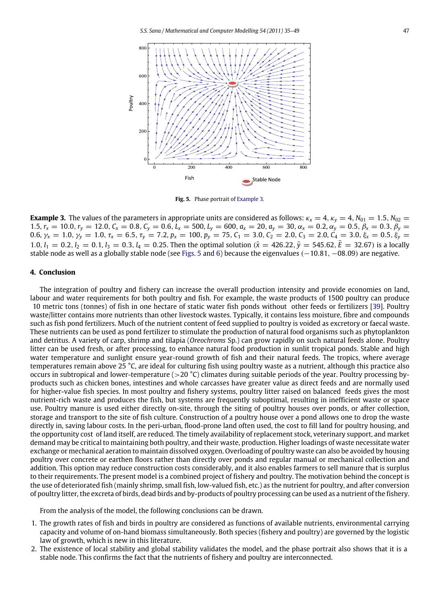<span id="page-12-1"></span>

**Fig. 5.** Phase portrait of [Example 3.](#page-12-0)

<span id="page-12-0"></span>**Example 3.** The values of the parameters in appropriate units are considered as follows:  $\kappa_x = 4$ ,  $\kappa_y = 4$ ,  $N_{01} = 1.5$ ,  $N_{02} =$ 1.5,  $r_x = 10.0$ ,  $r_y = 12.0$ ,  $C_x = 0.8$ ,  $C_y = 0.6$ ,  $L_x = 500$ ,  $L_y = 600$ ,  $a_x = 20$ ,  $a_y = 30$ ,  $\alpha_x = 0.2$ ,  $\alpha_y = 0.5$ ,  $\beta_x = 0.3$ ,  $\beta_y = 0.5$ 0.6,  $\gamma_x = 1.0$ ,  $\gamma_y = 1.0$ ,  $\tau_x = 6.5$ ,  $\tau_y = 7.2$ ,  $p_x = 100$ ,  $p_y = 75$ ,  $C_1 = 3.0$ ,  $C_2 = 2.0$ ,  $C_3 = 2.0$ ,  $C_4 = 3.0$ ,  $\xi_x = 0.5$ ,  $\xi_y = 0.5$ 1.0,  $l_1 = 0.2$ ,  $l_2 = 0.1$ ,  $l_3 = 0.3$ ,  $l_4 = 0.25$ . Then the optimal solution ( $\bar{x} = 426.22$ ,  $\bar{y} = 545.62$ ,  $\bar{E} = 32.67$ ) is a locally stable node as well as a globally stable node (see [Figs. 5](#page-12-1) and [6\)](#page-13-17) because the eigenvalues (−10.81, −08.09) are negative.

## **4. Conclusion**

The integration of poultry and fishery can increase the overall production intensity and provide economies on land, labour and water requirements for both poultry and fish. For example, the waste products of 1500 poultry can produce 10 metric tons (tonnes) of fish in one hectare of static water fish ponds without other feeds or fertilizers [\[39\]](#page-14-17). Poultry waste/litter contains more nutrients than other livestock wastes. Typically, it contains less moisture, fibre and compounds such as fish pond fertilizers. Much of the nutrient content of feed supplied to poultry is voided as excretory or faecal waste. These nutrients can be used as pond fertilizer to stimulate the production of natural food organisms such as phytoplankton and detritus. A variety of carp, shrimp and tilapia (*Oreochroms* Sp.) can grow rapidly on such natural feeds alone. Poultry litter can be used fresh, or after processing, to enhance natural food production in sunlit tropical ponds. Stable and high water temperature and sunlight ensure year-round growth of fish and their natural feeds. The tropics, where average temperatures remain above 25 °C, are ideal for culturing fish using poultry waste as a nutrient, although this practice also occurs in subtropical and lower-temperature ( $>$ 20 °C) climates during suitable periods of the year. Poultry processing byproducts such as chicken bones, intestines and whole carcasses have greater value as direct feeds and are normally used for higher-value fish species. In most poultry and fishery systems, poultry litter raised on balanced feeds gives the most nutrient-rich waste and produces the fish, but systems are frequently suboptimal, resulting in inefficient waste or space use. Poultry manure is used either directly on-site, through the siting of poultry houses over ponds, or after collection, storage and transport to the site of fish culture. Construction of a poultry house over a pond allows one to drop the waste directly in, saving labour costs. In the peri-urban, flood-prone land often used, the cost to fill land for poultry housing, and the opportunity cost of land itself, are reduced. The timely availability of replacement stock, veterinary support, and market demand may be critical to maintaining both poultry, and their waste, production. Higher loadings of waste necessitate water exchange or mechanical aeration to maintain dissolved oxygen. Overloading of poultry waste can also be avoided by housing poultry over concrete or earthen floors rather than directly over ponds and regular manual or mechanical collection and addition. This option may reduce construction costs considerably, and it also enables farmers to sell manure that is surplus to their requirements. The present model is a combined project of fishery and poultry. The motivation behind the concept is the use of deteriorated fish (mainly shrimp, small fish, low-valued fish, etc.) as the nutrient for poultry, and after conversion of poultry litter, the excreta of birds, dead birds and by-products of poultry processing can be used as a nutrient of the fishery.

From the analysis of the model, the following conclusions can be drawn.

- 1. The growth rates of fish and birds in poultry are considered as functions of available nutrients, environmental carrying capacity and volume of on-hand biomass simultaneously. Both species (fishery and poultry) are governed by the logistic law of growth, which is new in this literature.
- 2. The existence of local stability and global stability validates the model, and the phase portrait also shows that it is a stable node. This confirms the fact that the nutrients of fishery and poultry are interconnected.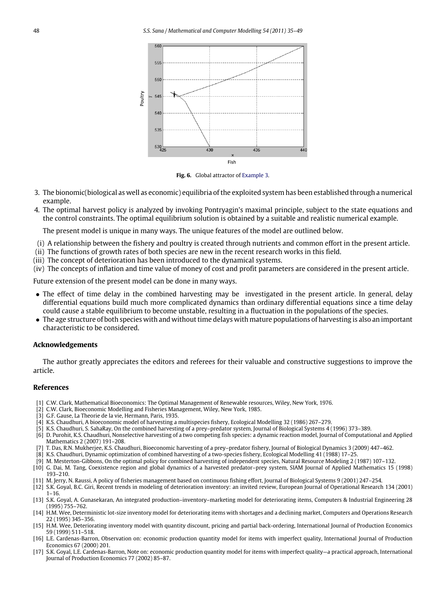<span id="page-13-17"></span>

**Fig. 6.** Global attractor of [Example 3.](#page-12-0)

- 3. The bionomic(biological as well as economic) equilibria of the exploited system has been established through a numerical example.
- 4. The optimal harvest policy is analyzed by invoking Pontryagin's maximal principle, subject to the state equations and the control constraints. The optimal equilibrium solution is obtained by a suitable and realistic numerical example.

The present model is unique in many ways. The unique features of the model are outlined below.

- (i) A relationship between the fishery and poultry is created through nutrients and common effort in the present article.
- (ii) The functions of growth rates of both species are new in the recent research works in this field.
- (iii) The concept of deterioration has been introduced to the dynamical systems.
- (iv) The concepts of inflation and time value of money of cost and profit parameters are considered in the present article.

Future extension of the present model can be done in many ways.

- The effect of time delay in the combined harvesting may be investigated in the present article. In general, delay differential equations build much more complicated dynamics than ordinary differential equations since a time delay could cause a stable equilibrium to become unstable, resulting in a fluctuation in the populations of the species.
- The age structure of both species with and without time delays with mature populations of harvesting is also an important characteristic to be considered.

#### **Acknowledgements**

The author greatly appreciates the editors and referees for their valuable and constructive suggestions to improve the article.

#### **References**

- <span id="page-13-0"></span>[1] C.W. Clark, Mathematical Bioeconomics: The Optimal Management of Renewable resources, Wiley, New York, 1976.
- <span id="page-13-1"></span>[2] C.W. Clark, Bioeconomic Modelling and Fisheries Management, Wiley, New York, 1985.
- <span id="page-13-2"></span>[3] G.F. Gause, La Theorie de la vie, Hermann, Paris, 1935.
- <span id="page-13-3"></span>[4] K.S. Chaudhuri, A bioeconomic model of harvesting a multispecies fishery, Ecological Modelling 32 (1986) 267–279.
- <span id="page-13-4"></span>[5] K.S. Chaudhuri, S. SahaRay, On the combined harvesting of a prey–predator system, Journal of Biological Systems 4 (1996) 373–389.
- <span id="page-13-5"></span>[6] D. Purohit, K.S. Chaudhuri, Nonselective harvesting of a two competing fish species: a dynamic reaction model, Journal of Computational and Applied Mathematics 2 (2007) 191–208.
- <span id="page-13-6"></span>[7] T. Das, R.N. Mukherjee, K.S. Chaudhuri, Bioeconomic harvesting of a prey–predator fishery, Journal of Biological Dynamics 3 (2009) 447–462.
- <span id="page-13-7"></span>[8] K.S. Chaudhuri, Dynamic optimization of combined harvesting of a two-species fishery, Ecological Modelling 41 (1988) 17–25.
- <span id="page-13-8"></span>[9] M. Mesterton-Gibbons, On the optimal policy for combined harvesting of independent species, Natural Resource Modeling 2 (1987) 107–132.
- <span id="page-13-9"></span>[10] G. Dai, M. Tang, Coexistence region and global dynamics of a harvested predator–prey system, SIAM Journal of Applied Mathematics 15 (1998) 193–210.
- <span id="page-13-10"></span>[11] M. Jerry, N. Raussi, A policy of fisheries management based on continuous fishing effort, Journal of Biological Systems 9 (2001) 247–254.
- <span id="page-13-11"></span>[12] S.K. Goyal, B.C. Giri, Recent trends in modeling of deterioration inventory: an invited review, European Journal of Operational Research 134 (2001) 1–16.
- <span id="page-13-12"></span>[13] S.K. Goyal, A. Gunasekaran, An integrated production–inventory–marketing model for deteriorating items, Computers & Industrial Engineering 28 (1995) 755–762.
- <span id="page-13-13"></span>[14] H.M. Wee, Deterministic lot-size inventory model for deteriorating items with shortages and a declining market, Computers and Operations Research 22 (1995) 345–356.
- <span id="page-13-14"></span>[15] H.M. Wee, Deteriorating inventory model with quantity discount, pricing and partial back-ordering, International Journal of Production Economics 59 (1999) 511–518.
- <span id="page-13-15"></span>[16] L.E. Cardenas-Barron, Observation on: economic production quantity model for items with imperfect quality, International Journal of Production Economics 67 (2000) 201.
- <span id="page-13-16"></span>[17] S.K. Goyal, L.E. Cardenas-Barron, Note on: economic production quantity model for items with imperfect quality—a practical approach, International Journal of Production Economics 77 (2002) 85–87.